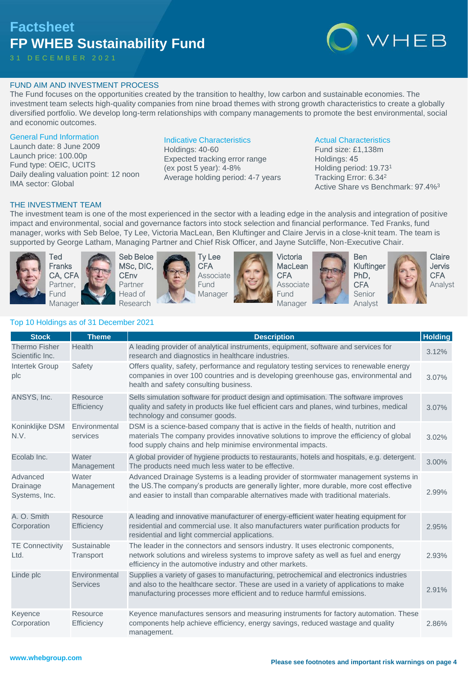# **Factsheet FP WHEB Sustainability Fund**

3 1 D E C E M B E R 2 0 2 1



## FUND AIM AND INVESTMENT PROCESS

The Fund focuses on the opportunities created by the transition to healthy, low carbon and sustainable economies. The investment team selects high-quality companies from nine broad themes with strong growth characteristics to create a globally diversified portfolio. We develop long-term relationships with company managements to promote the best environmental, social and economic outcomes.

#### General Fund Information

Launch date: 8 June 2009 Launch price: 100.00p Fund type: OEIC, UCITS Daily dealing valuation point: 12 noon IMA sector: Global

### Indicative Characteristics

Holdings: 40-60 Expected tracking error range (ex post 5 year): 4-8% Average holding period: 4-7 years

#### Actual Characteristics

Fund size: £1,138m Holdings: 45 Holding period: 19.73<sup>1</sup> Tracking Error: 6.34<sup>2</sup> Active Share vs Benchmark: 97.4%<sup>3</sup>

### THE INVESTMENT TEAM

The investment team is one of the most experienced in the sector with a leading edge in the analysis and integration of positive impact and environmental, social and governance factors into stock selection and financial performance. Ted Franks, fund manager, works with Seb Beloe, Ty Lee, Victoria MacLean, Ben Kluftinger and Claire Jervis in a close-knit team. The team is supported by George Latham, Managing Partner and Chief Risk Officer, and Jayne Sutcliffe, Non-Executive Chair.



Ted Franks CA, CFA Partner, Fund Manager





Ty Lee **CFA** Associate Fund Manager



Victoria **MacLean CFA** Associate Fund Manager





Ben Kluftinger PhD, **CFA** Senior Analyst

**Claire** Jervis **CFA** Analyst

# Top 10 Holdings as of 31 December 2021

| <b>Stock</b>                            | <b>Theme</b>                     | <b>Description</b>                                                                                                                                                                                                                                                    | <b>Holding</b> |
|-----------------------------------------|----------------------------------|-----------------------------------------------------------------------------------------------------------------------------------------------------------------------------------------------------------------------------------------------------------------------|----------------|
| <b>Thermo Fisher</b><br>Scientific Inc. | <b>Health</b>                    | A leading provider of analytical instruments, equipment, software and services for<br>research and diagnostics in healthcare industries.                                                                                                                              | 3.12%          |
| <b>Intertek Group</b><br>plc            | Safety                           | Offers quality, safety, performance and regulatory testing services to renewable energy<br>companies in over 100 countries and is developing greenhouse gas, environmental and<br>health and safety consulting business.                                              | 3.07%          |
| ANSYS, Inc.                             | Resource<br>Efficiency           | Sells simulation software for product design and optimisation. The software improves<br>quality and safety in products like fuel efficient cars and planes, wind turbines, medical<br>technology and consumer goods.                                                  | 3.07%          |
| Koninklijke DSM<br>N.V.                 | Environmental<br>services        | DSM is a science-based company that is active in the fields of health, nutrition and<br>materials The company provides innovative solutions to improve the efficiency of global<br>food supply chains and help minimise environmental impacts.                        | 3.02%          |
| Ecolab Inc.                             | Water<br>Management              | A global provider of hygiene products to restaurants, hotels and hospitals, e.g. detergent.<br>The products need much less water to be effective.                                                                                                                     | 3.00%          |
| Advanced<br>Drainage<br>Systems, Inc.   | Water<br>Management              | Advanced Drainage Systems is a leading provider of stormwater management systems in<br>the US. The company's products are generally lighter, more durable, more cost effective<br>and easier to install than comparable alternatives made with traditional materials. | 2.99%          |
| A. O. Smith<br>Corporation              | Resource<br>Efficiency           | A leading and innovative manufacturer of energy-efficient water heating equipment for<br>residential and commercial use. It also manufacturers water purification products for<br>residential and light commercial applications.                                      | 2.95%          |
| <b>TE Connectivity</b><br>Ltd.          | Sustainable<br>Transport         | The leader in the connectors and sensors industry. It uses electronic components,<br>network solutions and wireless systems to improve safety as well as fuel and energy<br>efficiency in the automotive industry and other markets.                                  | 2.93%          |
| Linde plc                               | Environmental<br><b>Services</b> | Supplies a variety of gases to manufacturing, petrochemical and electronics industries<br>and also to the healthcare sector. These are used in a variety of applications to make<br>manufacturing processes more efficient and to reduce harmful emissions.           | 2.91%          |
| Keyence<br>Corporation                  | Resource<br>Efficiency           | Keyence manufactures sensors and measuring instruments for factory automation. These<br>components help achieve efficiency, energy savings, reduced wastage and quality<br>management.                                                                                | 2.86%          |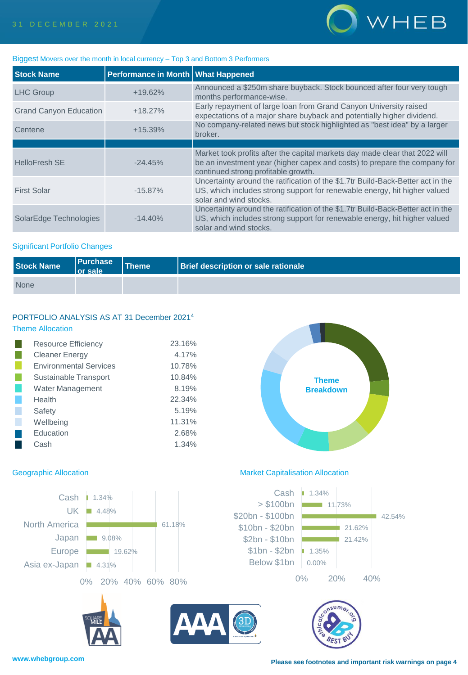

#### Biggest Movers over the month in local currency – Top 3 and Bottom 3 Performers

| <b>Stock Name</b>             | Performance in Month   What Happened |                                                                                                                                                                                                 |
|-------------------------------|--------------------------------------|-------------------------------------------------------------------------------------------------------------------------------------------------------------------------------------------------|
| <b>LHC Group</b>              | $+19.62%$                            | Announced a \$250m share buyback. Stock bounced after four very tough<br>months performance-wise.                                                                                               |
| <b>Grand Canyon Education</b> | $+18.27%$                            | Early repayment of large loan from Grand Canyon University raised<br>expectations of a major share buyback and potentially higher dividend.                                                     |
| Centene                       | $+15.39%$                            | No company-related news but stock highlighted as "best idea" by a larger<br>broker.                                                                                                             |
|                               |                                      |                                                                                                                                                                                                 |
| <b>HelloFresh SE</b>          | $-24.45%$                            | Market took profits after the capital markets day made clear that 2022 will<br>be an investment year (higher capex and costs) to prepare the company for<br>continued strong profitable growth. |
| <b>First Solar</b>            | $-15.87\%$                           | Uncertainty around the ratification of the \$1.7tr Build-Back-Better act in the<br>US, which includes strong support for renewable energy, hit higher valued<br>solar and wind stocks.          |
| SolarEdge Technologies        | $-14.40%$                            | Uncertainty around the ratification of the \$1.7tr Build-Back-Better act in the<br>US, which includes strong support for renewable energy, hit higher valued<br>solar and wind stocks.          |

### Significant Portfolio Changes

| Stock Name  | <b>Purchase</b><br>l or sale | Theme | <b>Brief description or sale rationale</b> |
|-------------|------------------------------|-------|--------------------------------------------|
| <b>None</b> |                              |       |                                            |

## PORTFOLIO ANALYSIS AS AT 31 December 2021<sup>4</sup> Theme Allocation

| <b>Resource Efficiency</b>    | 23.16% |
|-------------------------------|--------|
| <b>Cleaner Energy</b>         | 4.17%  |
| <b>Environmental Services</b> | 10.78% |
| Sustainable Transport         | 10.84% |
| Water Management              | 8.19%  |
| Health                        | 22.34% |
| Safety                        | 5.19%  |
| Wellbeing                     | 11.31% |
| Education                     | 2.68%  |
| Cash                          | 1.34%  |
|                               |        |



### Geographic Allocation **Market Capitalisation Allocation** Market Capitalisation Allocation

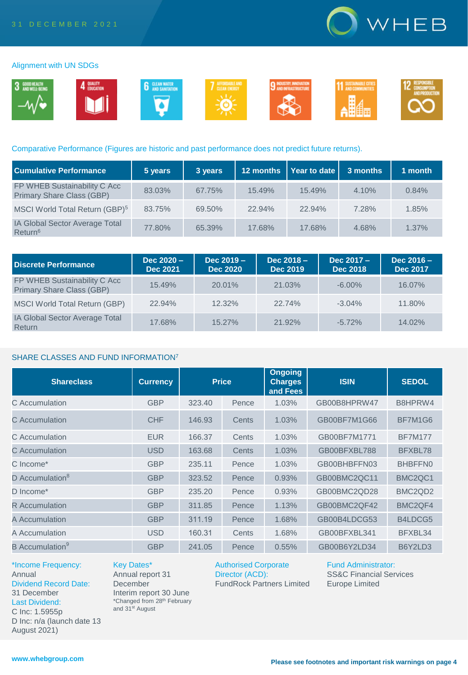

#### Alignment with UN SDGs



#### Comparative Performance (Figures are historic and past performance does not predict future returns).

| <b>Cumulative Performance</b>                                | 5 years | 3 years | 12 months | $\vert$ Year to date $\vert$ | 3 months | 1 month  |
|--------------------------------------------------------------|---------|---------|-----------|------------------------------|----------|----------|
| FP WHEB Sustainability C Acc<br>Primary Share Class (GBP)    | 83.03%  | 67.75%  | 15.49%    | 15.49%                       | 4.10%    | 0.84%    |
| MSCI World Total Return (GBP) <sup>5</sup>                   | 83.75%  | 69.50%  | $22.94\%$ | 22.94%                       | 7.28%    | 1.85%    |
| <b>IA Global Sector Average Total</b><br>Return <sup>6</sup> | 77.80%  | 65.39%  | 17.68%    | 17.68%                       | 4.68%    | $1.37\%$ |

| Discrete Performance                                             | $Dec 2020 -$<br><b>Dec 2021</b> | $Dec 2019 -$<br><b>Dec 2020</b> | Dec $2018 -$<br><b>Dec 2019</b> | Dec 2017 -<br><b>Dec 2018</b> | Dec $2016 -$<br><b>Dec 2017</b> |
|------------------------------------------------------------------|---------------------------------|---------------------------------|---------------------------------|-------------------------------|---------------------------------|
| FP WHEB Sustainability C Acc<br><b>Primary Share Class (GBP)</b> | 15.49%                          | 20.01%                          | 21.03%                          | $-6.00\%$                     | 16.07%                          |
| <b>MSCI World Total Return (GBP)</b>                             | 22.94%                          | 12.32%                          | 22.74%                          | $-3.04%$                      | 11.80%                          |
| <b>IA Global Sector Average Total</b><br>Return                  | 17.68%                          | $15.27\%$                       | 21.92%                          | $-5.72\%$                     | 14.02%                          |

#### SHARE CLASSES AND FUND INFORMATION<sup>7</sup>

| <b>Shareclass</b>           | <b>Currency</b> | <b>Price</b> |       | <b>Ongoing</b><br><b>Charges</b><br>and Fees | <b>ISIN</b>  | <b>SEDOL</b>                     |
|-----------------------------|-----------------|--------------|-------|----------------------------------------------|--------------|----------------------------------|
| C Accumulation              | <b>GBP</b>      | 323.40       | Pence | 1.03%                                        | GB00B8HPRW47 | B8HPRW4                          |
| C Accumulation              | <b>CHF</b>      | 146.93       | Cents | 1.03%                                        | GB00BF7M1G66 | BF7M1G6                          |
| C. Accumulation             | <b>EUR</b>      | 166.37       | Cents | 1.03%                                        | GB00BF7M1771 | <b>BF7M177</b>                   |
| C. Accumulation             | <b>USD</b>      | 163.68       | Cents | 1.03%                                        | GB00BFXBL788 | BFXBL78                          |
| C Income*                   | <b>GBP</b>      | 235.11       | Pence | 1.03%                                        | GB00BHBFFN03 | BHBFFN0                          |
| D Accumulation <sup>8</sup> | <b>GBP</b>      | 323.52       | Pence | 0.93%                                        | GB00BMC2QC11 | BMC <sub>2</sub> QC <sub>1</sub> |
| D Income*                   | <b>GBP</b>      | 235.20       | Pence | 0.93%                                        | GB00BMC2QD28 | BMC <sub>2</sub> Q <sub>D2</sub> |
| <b>R</b> Accumulation       | <b>GBP</b>      | 311.85       | Pence | 1.13%                                        | GB00BMC2QF42 | BMC <sub>2</sub> QF4             |
| A Accumulation              | <b>GBP</b>      | 311.19       | Pence | 1.68%                                        | GB00B4LDCG53 | B4LDCG5                          |
| A Accumulation              | <b>USD</b>      | 160.31       | Cents | 1.68%                                        | GB00BFXBL341 | BFXBL34                          |
| B Accumulation <sup>9</sup> | <b>GBP</b>      | 241.05       | Pence | 0.55%                                        | GB00B6Y2LD34 | B6Y2LD3                          |

\*Income Frequency: Annual Dividend Record Date: 31 December Last Dividend: C Inc: 1.5955p D Inc: n/a (launch date 13 August 2021)

Key Dates\* Annual report 31 **December** Interim report 30 June \*Changed from 28th February and 31<sup>st</sup> August

Authorised Corporate Director (ACD): FundRock Partners Limited Fund Administrator: SS&C Financial Services Europe Limited